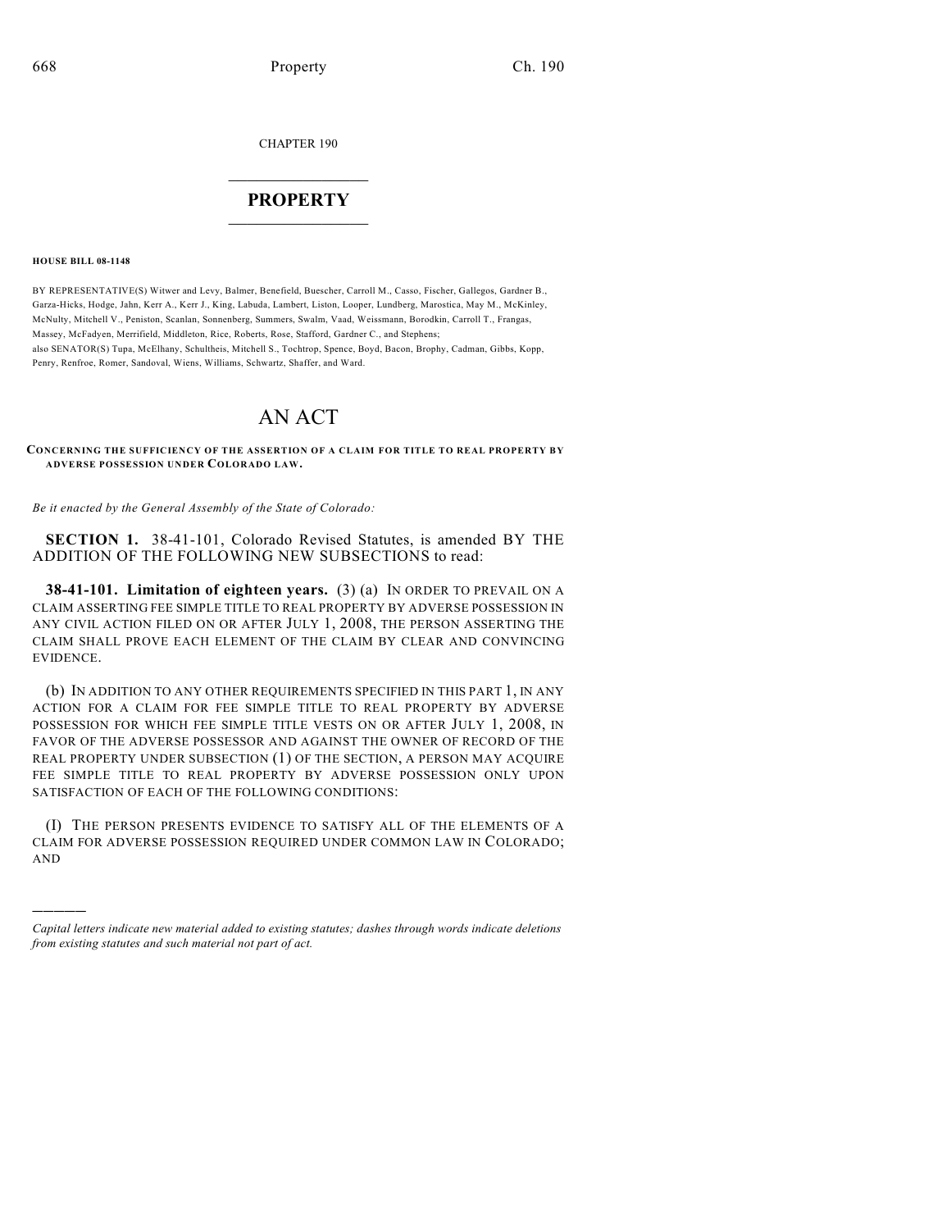CHAPTER 190

## $\overline{\phantom{a}}$  . The set of the set of the set of the set of the set of the set of the set of the set of the set of the set of the set of the set of the set of the set of the set of the set of the set of the set of the set o **PROPERTY**  $\_$   $\_$   $\_$   $\_$   $\_$   $\_$   $\_$   $\_$   $\_$

**HOUSE BILL 08-1148**

)))))

BY REPRESENTATIVE(S) Witwer and Levy, Balmer, Benefield, Buescher, Carroll M., Casso, Fischer, Gallegos, Gardner B., Garza-Hicks, Hodge, Jahn, Kerr A., Kerr J., King, Labuda, Lambert, Liston, Looper, Lundberg, Marostica, May M., McKinley, McNulty, Mitchell V., Peniston, Scanlan, Sonnenberg, Summers, Swalm, Vaad, Weissmann, Borodkin, Carroll T., Frangas, Massey, McFadyen, Merrifield, Middleton, Rice, Roberts, Rose, Stafford, Gardner C., and Stephens; also SENATOR(S) Tupa, McElhany, Schultheis, Mitchell S., Tochtrop, Spence, Boyd, Bacon, Brophy, Cadman, Gibbs, Kopp, Penry, Renfroe, Romer, Sandoval, Wiens, Williams, Schwartz, Shaffer, and Ward.

## AN ACT

**CONCERNING THE SUFFICIENCY OF THE ASSERTION OF A CLAIM FOR TITLE TO REAL PROPERTY BY ADVERSE POSSESSION UNDER COLORADO LAW.**

*Be it enacted by the General Assembly of the State of Colorado:*

**SECTION 1.** 38-41-101, Colorado Revised Statutes, is amended BY THE ADDITION OF THE FOLLOWING NEW SUBSECTIONS to read:

**38-41-101. Limitation of eighteen years.** (3) (a) IN ORDER TO PREVAIL ON A CLAIM ASSERTING FEE SIMPLE TITLE TO REAL PROPERTY BY ADVERSE POSSESSION IN ANY CIVIL ACTION FILED ON OR AFTER JULY 1, 2008, THE PERSON ASSERTING THE CLAIM SHALL PROVE EACH ELEMENT OF THE CLAIM BY CLEAR AND CONVINCING EVIDENCE.

(b) IN ADDITION TO ANY OTHER REQUIREMENTS SPECIFIED IN THIS PART 1, IN ANY ACTION FOR A CLAIM FOR FEE SIMPLE TITLE TO REAL PROPERTY BY ADVERSE POSSESSION FOR WHICH FEE SIMPLE TITLE VESTS ON OR AFTER JULY 1, 2008, IN FAVOR OF THE ADVERSE POSSESSOR AND AGAINST THE OWNER OF RECORD OF THE REAL PROPERTY UNDER SUBSECTION (1) OF THE SECTION, A PERSON MAY ACQUIRE FEE SIMPLE TITLE TO REAL PROPERTY BY ADVERSE POSSESSION ONLY UPON SATISFACTION OF EACH OF THE FOLLOWING CONDITIONS:

(I) THE PERSON PRESENTS EVIDENCE TO SATISFY ALL OF THE ELEMENTS OF A CLAIM FOR ADVERSE POSSESSION REQUIRED UNDER COMMON LAW IN COLORADO; AND

*Capital letters indicate new material added to existing statutes; dashes through words indicate deletions from existing statutes and such material not part of act.*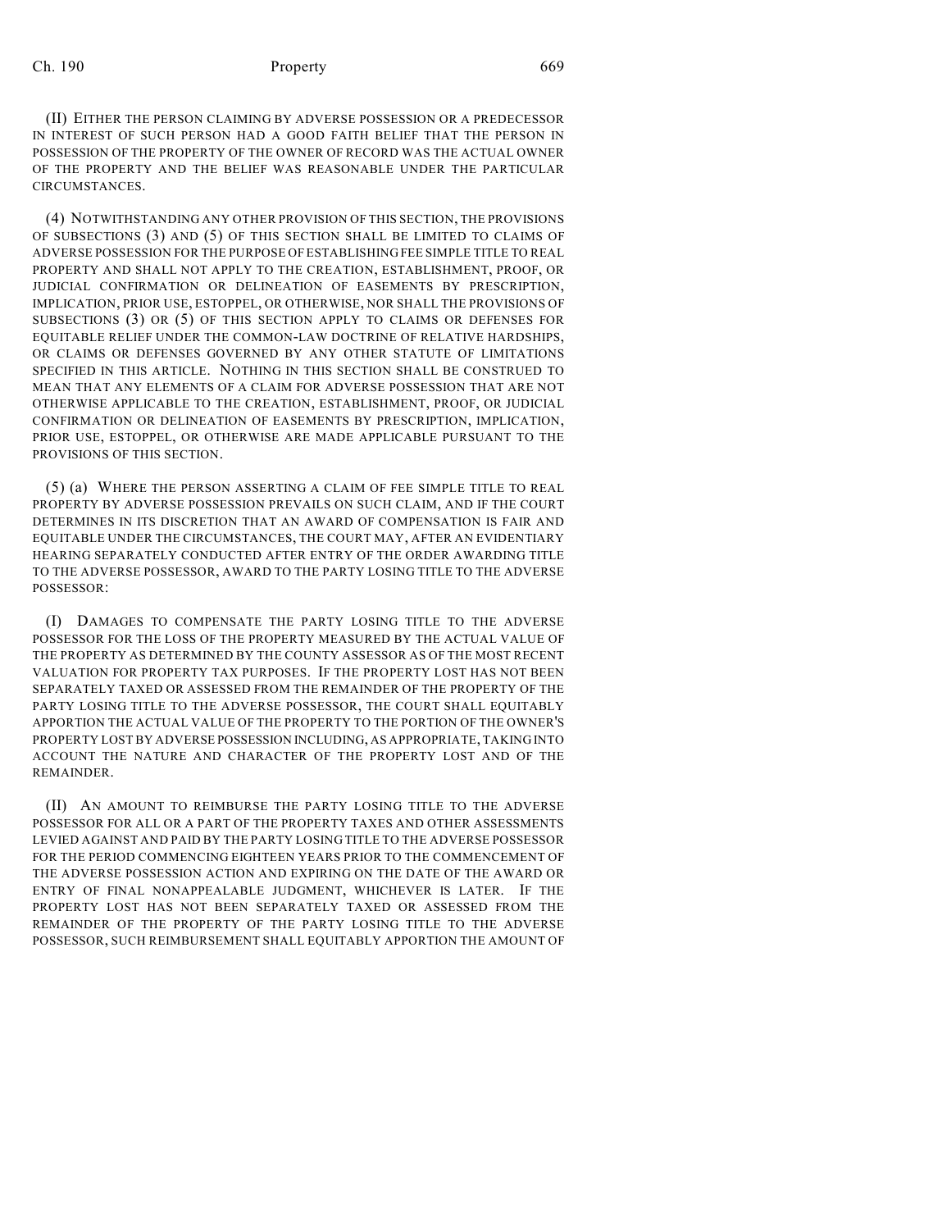## Ch. 190 **Property Property** 669

(II) EITHER THE PERSON CLAIMING BY ADVERSE POSSESSION OR A PREDECESSOR IN INTEREST OF SUCH PERSON HAD A GOOD FAITH BELIEF THAT THE PERSON IN POSSESSION OF THE PROPERTY OF THE OWNER OF RECORD WAS THE ACTUAL OWNER OF THE PROPERTY AND THE BELIEF WAS REASONABLE UNDER THE PARTICULAR CIRCUMSTANCES.

(4) NOTWITHSTANDING ANY OTHER PROVISION OF THIS SECTION, THE PROVISIONS OF SUBSECTIONS (3) AND (5) OF THIS SECTION SHALL BE LIMITED TO CLAIMS OF ADVERSE POSSESSION FOR THE PURPOSE OFESTABLISHING FEE SIMPLE TITLE TO REAL PROPERTY AND SHALL NOT APPLY TO THE CREATION, ESTABLISHMENT, PROOF, OR JUDICIAL CONFIRMATION OR DELINEATION OF EASEMENTS BY PRESCRIPTION, IMPLICATION, PRIOR USE, ESTOPPEL, OR OTHERWISE, NOR SHALL THE PROVISIONS OF SUBSECTIONS (3) OR (5) OF THIS SECTION APPLY TO CLAIMS OR DEFENSES FOR EQUITABLE RELIEF UNDER THE COMMON-LAW DOCTRINE OF RELATIVE HARDSHIPS, OR CLAIMS OR DEFENSES GOVERNED BY ANY OTHER STATUTE OF LIMITATIONS SPECIFIED IN THIS ARTICLE. NOTHING IN THIS SECTION SHALL BE CONSTRUED TO MEAN THAT ANY ELEMENTS OF A CLAIM FOR ADVERSE POSSESSION THAT ARE NOT OTHERWISE APPLICABLE TO THE CREATION, ESTABLISHMENT, PROOF, OR JUDICIAL CONFIRMATION OR DELINEATION OF EASEMENTS BY PRESCRIPTION, IMPLICATION, PRIOR USE, ESTOPPEL, OR OTHERWISE ARE MADE APPLICABLE PURSUANT TO THE PROVISIONS OF THIS SECTION.

(5) (a) WHERE THE PERSON ASSERTING A CLAIM OF FEE SIMPLE TITLE TO REAL PROPERTY BY ADVERSE POSSESSION PREVAILS ON SUCH CLAIM, AND IF THE COURT DETERMINES IN ITS DISCRETION THAT AN AWARD OF COMPENSATION IS FAIR AND EQUITABLE UNDER THE CIRCUMSTANCES, THE COURT MAY, AFTER AN EVIDENTIARY HEARING SEPARATELY CONDUCTED AFTER ENTRY OF THE ORDER AWARDING TITLE TO THE ADVERSE POSSESSOR, AWARD TO THE PARTY LOSING TITLE TO THE ADVERSE POSSESSOR:

(I) DAMAGES TO COMPENSATE THE PARTY LOSING TITLE TO THE ADVERSE POSSESSOR FOR THE LOSS OF THE PROPERTY MEASURED BY THE ACTUAL VALUE OF THE PROPERTY AS DETERMINED BY THE COUNTY ASSESSOR AS OF THE MOST RECENT VALUATION FOR PROPERTY TAX PURPOSES. IF THE PROPERTY LOST HAS NOT BEEN SEPARATELY TAXED OR ASSESSED FROM THE REMAINDER OF THE PROPERTY OF THE PARTY LOSING TITLE TO THE ADVERSE POSSESSOR, THE COURT SHALL EQUITABLY APPORTION THE ACTUAL VALUE OF THE PROPERTY TO THE PORTION OF THE OWNER'S PROPERTY LOST BY ADVERSE POSSESSION INCLUDING, AS APPROPRIATE, TAKING INTO ACCOUNT THE NATURE AND CHARACTER OF THE PROPERTY LOST AND OF THE **REMAINDER** 

(II) AN AMOUNT TO REIMBURSE THE PARTY LOSING TITLE TO THE ADVERSE POSSESSOR FOR ALL OR A PART OF THE PROPERTY TAXES AND OTHER ASSESSMENTS LEVIED AGAINST AND PAID BY THE PARTY LOSING TITLE TO THE ADVERSE POSSESSOR FOR THE PERIOD COMMENCING EIGHTEEN YEARS PRIOR TO THE COMMENCEMENT OF THE ADVERSE POSSESSION ACTION AND EXPIRING ON THE DATE OF THE AWARD OR ENTRY OF FINAL NONAPPEALABLE JUDGMENT, WHICHEVER IS LATER. IF THE PROPERTY LOST HAS NOT BEEN SEPARATELY TAXED OR ASSESSED FROM THE REMAINDER OF THE PROPERTY OF THE PARTY LOSING TITLE TO THE ADVERSE POSSESSOR, SUCH REIMBURSEMENT SHALL EQUITABLY APPORTION THE AMOUNT OF